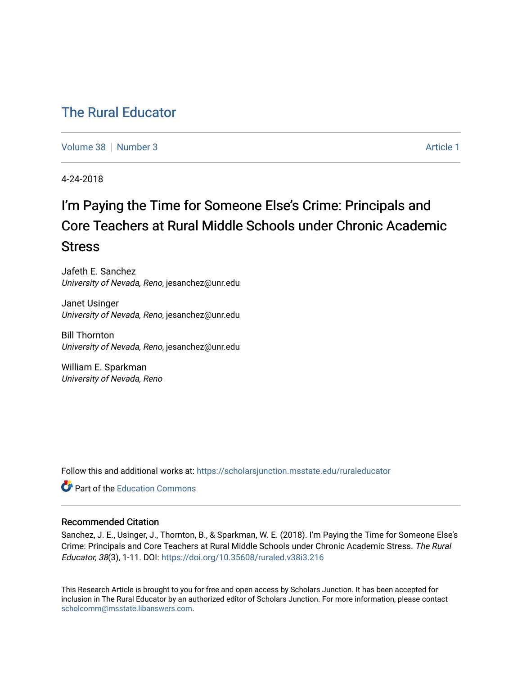# [The Rural Educator](https://scholarsjunction.msstate.edu/ruraleducator)

[Volume 38](https://scholarsjunction.msstate.edu/ruraleducator/vol38) [Number 3](https://scholarsjunction.msstate.edu/ruraleducator/vol38/iss3) Article 1

4-24-2018

# I'm Paying the Time for Someone Else's Crime: Principals and Core Teachers at Rural Middle Schools under Chronic Academic Stress

Jafeth E. Sanchez University of Nevada, Reno, jesanchez@unr.edu

Janet Usinger University of Nevada, Reno, jesanchez@unr.edu

Bill Thornton University of Nevada, Reno, jesanchez@unr.edu

William E. Sparkman University of Nevada, Reno

Follow this and additional works at: [https://scholarsjunction.msstate.edu/ruraleducator](https://scholarsjunction.msstate.edu/ruraleducator?utm_source=scholarsjunction.msstate.edu%2Fruraleducator%2Fvol38%2Fiss3%2F1&utm_medium=PDF&utm_campaign=PDFCoverPages)

**C** Part of the [Education Commons](http://network.bepress.com/hgg/discipline/784?utm_source=scholarsjunction.msstate.edu%2Fruraleducator%2Fvol38%2Fiss3%2F1&utm_medium=PDF&utm_campaign=PDFCoverPages)

# Recommended Citation

Sanchez, J. E., Usinger, J., Thornton, B., & Sparkman, W. E. (2018). I'm Paying the Time for Someone Else's Crime: Principals and Core Teachers at Rural Middle Schools under Chronic Academic Stress. The Rural Educator, 38(3), 1-11. DOI:<https://doi.org/10.35608/ruraled.v38i3.216>

This Research Article is brought to you for free and open access by Scholars Junction. It has been accepted for inclusion in The Rural Educator by an authorized editor of Scholars Junction. For more information, please contact [scholcomm@msstate.libanswers.com.](mailto:scholcomm@msstate.libanswers.com)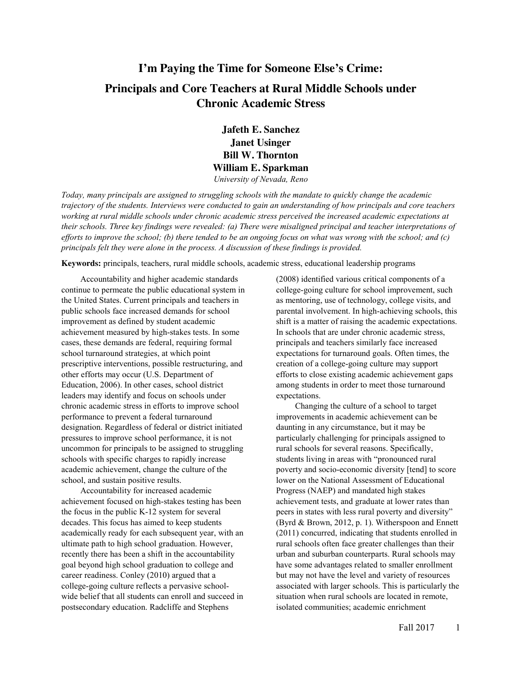# **I'm Paying the Time for Someone Else's Crime: Principals and Core Teachers at Rural Middle Schools under Chronic Academic Stress**

**Jafeth E. Sanchez Janet Usinger Bill W. Thornton William E. Sparkman** *University of Nevada, Reno*

*Today, many principals are assigned to struggling schools with the mandate to quickly change the academic trajectory of the students. Interviews were conducted to gain an understanding of how principals and core teachers*  working at rural middle schools under chronic academic stress perceived the increased academic expectations at *their schools. Three key findings were revealed: (a) There were misaligned principal and teacher interpretations of* 

*efforts to improve the school; (b) there tended to be an ongoing focus on what was wrong with the school; and (c)* 

**Keywords:** principals, teachers, rural middle schools, academic stress, educational leadership programs

*principals felt they were alone in the process. A discussion of these findings is provided.*

Accountability and higher academic standards continue to permeate the public educational system in the United States. Current principals and teachers in public schools face increased demands for school improvement as defined by student academic achievement measured by high-stakes tests. In some cases, these demands are federal, requiring formal school turnaround strategies, at which point prescriptive interventions, possible restructuring, and other efforts may occur (U.S. Department of Education, 2006). In other cases, school district leaders may identify and focus on schools under chronic academic stress in efforts to improve school performance to prevent a federal turnaround designation. Regardless of federal or district initiated pressures to improve school performance, it is not uncommon for principals to be assigned to struggling schools with specific charges to rapidly increase academic achievement, change the culture of the school, and sustain positive results.

Accountability for increased academic achievement focused on high-stakes testing has been the focus in the public K-12 system for several decades. This focus has aimed to keep students academically ready for each subsequent year, with an ultimate path to high school graduation. However, recently there has been a shift in the accountability goal beyond high school graduation to college and career readiness. Conley (2010) argued that a college-going culture reflects a pervasive schoolwide belief that all students can enroll and succeed in postsecondary education. Radcliffe and Stephens

(2008) identified various critical components of a college-going culture for school improvement, such as mentoring, use of technology, college visits, and parental involvement. In high-achieving schools, this shift is a matter of raising the academic expectations. In schools that are under chronic academic stress, principals and teachers similarly face increased expectations for turnaround goals. Often times, the creation of a college-going culture may support efforts to close existing academic achievement gaps among students in order to meet those turnaround expectations.

Changing the culture of a school to target improvements in academic achievement can be daunting in any circumstance, but it may be particularly challenging for principals assigned to rural schools for several reasons. Specifically, students living in areas with "pronounced rural poverty and socio-economic diversity [tend] to score lower on the National Assessment of Educational Progress (NAEP) and mandated high stakes achievement tests, and graduate at lower rates than peers in states with less rural poverty and diversity" (Byrd & Brown, 2012, p. 1). Witherspoon and Ennett (2011) concurred, indicating that students enrolled in rural schools often face greater challenges than their urban and suburban counterparts. Rural schools may have some advantages related to smaller enrollment but may not have the level and variety of resources associated with larger schools. This is particularly the situation when rural schools are located in remote, isolated communities; academic enrichment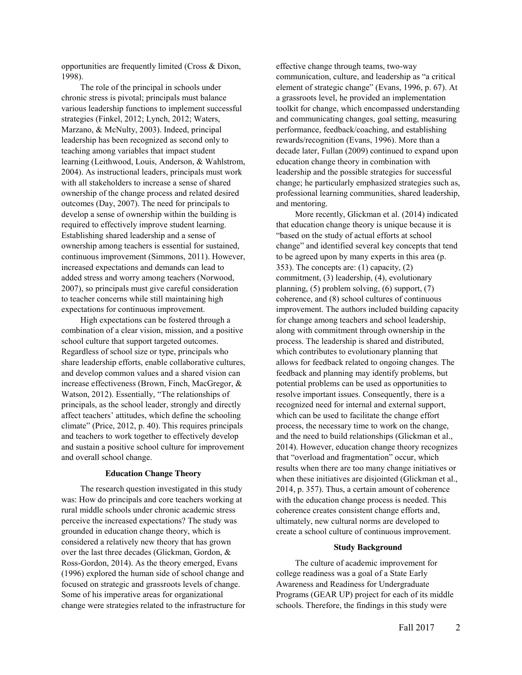opportunities are frequently limited (Cross & Dixon, 1998).

The role of the principal in schools under chronic stress is pivotal; principals must balance various leadership functions to implement successful strategies (Finkel, 2012; Lynch, 2012; Waters, Marzano, & McNulty, 2003). Indeed, principal leadership has been recognized as second only to teaching among variables that impact student learning (Leithwood, Louis, Anderson, & Wahlstrom, 2004). As instructional leaders, principals must work with all stakeholders to increase a sense of shared ownership of the change process and related desired outcomes (Day, 2007). The need for principals to develop a sense of ownership within the building is required to effectively improve student learning. Establishing shared leadership and a sense of ownership among teachers is essential for sustained, continuous improvement (Simmons, 2011). However, increased expectations and demands can lead to added stress and worry among teachers (Norwood, 2007), so principals must give careful consideration to teacher concerns while still maintaining high expectations for continuous improvement.

High expectations can be fostered through a combination of a clear vision, mission, and a positive school culture that support targeted outcomes. Regardless of school size or type, principals who share leadership efforts, enable collaborative cultures, and develop common values and a shared vision can increase effectiveness (Brown, Finch, MacGregor, & Watson, 2012). Essentially, "The relationships of principals, as the school leader, strongly and directly affect teachers' attitudes, which define the schooling climate" (Price, 2012, p. 40). This requires principals and teachers to work together to effectively develop and sustain a positive school culture for improvement and overall school change.

## **Education Change Theory**

The research question investigated in this study was: How do principals and core teachers working at rural middle schools under chronic academic stress perceive the increased expectations? The study was grounded in education change theory, which is considered a relatively new theory that has grown over the last three decades (Glickman, Gordon, & Ross-Gordon, 2014). As the theory emerged, Evans (1996) explored the human side of school change and focused on strategic and grassroots levels of change. Some of his imperative areas for organizational change were strategies related to the infrastructure for

effective change through teams, two-way communication, culture, and leadership as "a critical element of strategic change" (Evans, 1996, p. 67). At a grassroots level, he provided an implementation toolkit for change, which encompassed understanding and communicating changes, goal setting, measuring performance, feedback/coaching, and establishing rewards/recognition (Evans, 1996). More than a decade later, Fullan (2009) continued to expand upon education change theory in combination with leadership and the possible strategies for successful change; he particularly emphasized strategies such as, professional learning communities, shared leadership, and mentoring.

More recently, Glickman et al. (2014) indicated that education change theory is unique because it is "based on the study of actual efforts at school change" and identified several key concepts that tend to be agreed upon by many experts in this area (p. 353). The concepts are: (1) capacity, (2) commitment, (3) leadership, (4), evolutionary planning, (5) problem solving, (6) support, (7) coherence, and (8) school cultures of continuous improvement. The authors included building capacity for change among teachers and school leadership, along with commitment through ownership in the process. The leadership is shared and distributed, which contributes to evolutionary planning that allows for feedback related to ongoing changes. The feedback and planning may identify problems, but potential problems can be used as opportunities to resolve important issues. Consequently, there is a recognized need for internal and external support, which can be used to facilitate the change effort process, the necessary time to work on the change, and the need to build relationships (Glickman et al., 2014). However, education change theory recognizes that "overload and fragmentation" occur, which results when there are too many change initiatives or when these initiatives are disjointed (Glickman et al., 2014, p. 357). Thus, a certain amount of coherence with the education change process is needed. This coherence creates consistent change efforts and, ultimately, new cultural norms are developed to create a school culture of continuous improvement.

## **Study Background**

The culture of academic improvement for college readiness was a goal of a State Early Awareness and Readiness for Undergraduate Programs (GEAR UP) project for each of its middle schools. Therefore, the findings in this study were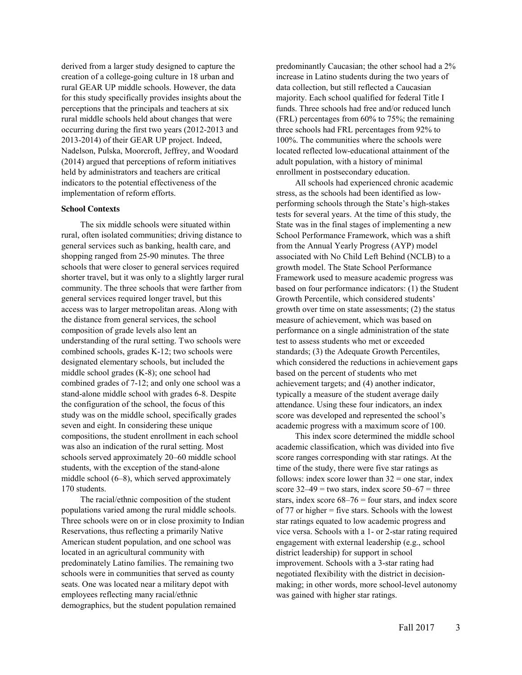derived from a larger study designed to capture the creation of a college-going culture in 18 urban and rural GEAR UP middle schools. However, the data for this study specifically provides insights about the perceptions that the principals and teachers at six rural middle schools held about changes that were occurring during the first two years (2012-2013 and 2013-2014) of their GEAR UP project. Indeed, Nadelson, Pulska, Moorcroft, Jeffrey, and Woodard (2014) argued that perceptions of reform initiatives held by administrators and teachers are critical indicators to the potential effectiveness of the implementation of reform efforts.

#### **School Contexts**

The six middle schools were situated within rural, often isolated communities; driving distance to general services such as banking, health care, and shopping ranged from 25-90 minutes. The three schools that were closer to general services required shorter travel, but it was only to a slightly larger rural community. The three schools that were farther from general services required longer travel, but this access was to larger metropolitan areas. Along with the distance from general services, the school composition of grade levels also lent an understanding of the rural setting. Two schools were combined schools, grades K-12; two schools were designated elementary schools, but included the middle school grades (K-8); one school had combined grades of 7-12; and only one school was a stand-alone middle school with grades 6-8. Despite the configuration of the school, the focus of this study was on the middle school, specifically grades seven and eight. In considering these unique compositions, the student enrollment in each school was also an indication of the rural setting. Most schools served approximately 20–60 middle school students, with the exception of the stand-alone middle school (6–8), which served approximately 170 students.

The racial/ethnic composition of the student populations varied among the rural middle schools. Three schools were on or in close proximity to Indian Reservations, thus reflecting a primarily Native American student population, and one school was located in an agricultural community with predominately Latino families. The remaining two schools were in communities that served as county seats. One was located near a military depot with employees reflecting many racial/ethnic demographics, but the student population remained

predominantly Caucasian; the other school had a 2% increase in Latino students during the two years of data collection, but still reflected a Caucasian majority. Each school qualified for federal Title I funds. Three schools had free and/or reduced lunch (FRL) percentages from 60% to 75%; the remaining three schools had FRL percentages from 92% to 100%. The communities where the schools were located reflected low-educational attainment of the adult population, with a history of minimal enrollment in postsecondary education.

All schools had experienced chronic academic stress, as the schools had been identified as lowperforming schools through the State's high-stakes tests for several years. At the time of this study, the State was in the final stages of implementing a new School Performance Framework, which was a shift from the Annual Yearly Progress (AYP) model associated with No Child Left Behind (NCLB) to a growth model. The State School Performance Framework used to measure academic progress was based on four performance indicators: (1) the Student Growth Percentile, which considered students' growth over time on state assessments; (2) the status measure of achievement, which was based on performance on a single administration of the state test to assess students who met or exceeded standards; (3) the Adequate Growth Percentiles, which considered the reductions in achievement gaps based on the percent of students who met achievement targets; and (4) another indicator, typically a measure of the student average daily attendance. Using these four indicators, an index score was developed and represented the school's academic progress with a maximum score of 100.

This index score determined the middle school academic classification, which was divided into five score ranges corresponding with star ratings. At the time of the study, there were five star ratings as follows: index score lower than  $32$  = one star, index score  $32-49$  = two stars, index score  $50-67$  = three stars, index score  $68-76$  = four stars, and index score of 77 or higher = five stars. Schools with the lowest star ratings equated to low academic progress and vice versa. Schools with a 1- or 2-star rating required engagement with external leadership (e.g., school district leadership) for support in school improvement. Schools with a 3-star rating had negotiated flexibility with the district in decisionmaking; in other words, more school-level autonomy was gained with higher star ratings.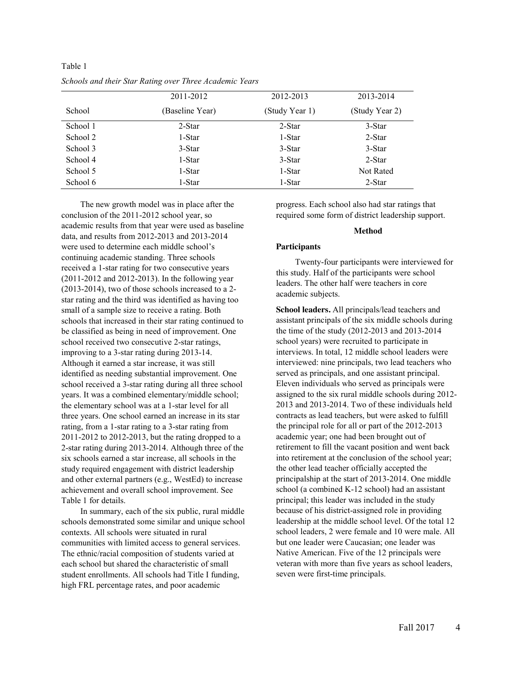|          | 2011-2012       | 2012-2013      | 2013-2014      |
|----------|-----------------|----------------|----------------|
| School   | (Baseline Year) | (Study Year 1) | (Study Year 2) |
| School 1 | 2-Star          | 2-Star         | 3-Star         |
| School 2 | 1-Star          | 1-Star         | 2-Star         |
| School 3 | 3-Star          | 3-Star         | 3-Star         |
| School 4 | 1-Star          | 3-Star         | 2-Star         |
| School 5 | 1-Star          | 1-Star         | Not Rated      |
| School 6 | 1-Star          | 1-Star         | 2-Star         |

Table 1 *Schools and their Star Rating over Three Academic Years*

The new growth model was in place after the conclusion of the 2011-2012 school year, so academic results from that year were used as baseline data, and results from 2012-2013 and 2013-2014 were used to determine each middle school's continuing academic standing. Three schools received a 1-star rating for two consecutive years (2011-2012 and 2012-2013). In the following year (2013-2014), two of those schools increased to a 2 star rating and the third was identified as having too small of a sample size to receive a rating. Both schools that increased in their star rating continued to be classified as being in need of improvement. One school received two consecutive 2-star ratings, improving to a 3-star rating during 2013-14. Although it earned a star increase, it was still identified as needing substantial improvement. One school received a 3-star rating during all three school years. It was a combined elementary/middle school; the elementary school was at a 1-star level for all three years. One school earned an increase in its star rating, from a 1-star rating to a 3-star rating from 2011-2012 to 2012-2013, but the rating dropped to a 2-star rating during 2013-2014. Although three of the six schools earned a star increase, all schools in the study required engagement with district leadership and other external partners (e.g., WestEd) to increase achievement and overall school improvement. See Table 1 for details.

In summary, each of the six public, rural middle schools demonstrated some similar and unique school contexts. All schools were situated in rural communities with limited access to general services. The ethnic/racial composition of students varied at each school but shared the characteristic of small student enrollments. All schools had Title I funding, high FRL percentage rates, and poor academic

progress. Each school also had star ratings that required some form of district leadership support.

#### **Method**

#### **Participants**

Twenty-four participants were interviewed for this study. Half of the participants were school leaders. The other half were teachers in core academic subjects.

**School leaders.** All principals/lead teachers and assistant principals of the six middle schools during the time of the study (2012-2013 and 2013-2014 school years) were recruited to participate in interviews. In total, 12 middle school leaders were interviewed: nine principals, two lead teachers who served as principals, and one assistant principal. Eleven individuals who served as principals were assigned to the six rural middle schools during 2012- 2013 and 2013-2014. Two of these individuals held contracts as lead teachers, but were asked to fulfill the principal role for all or part of the 2012-2013 academic year; one had been brought out of retirement to fill the vacant position and went back into retirement at the conclusion of the school year; the other lead teacher officially accepted the principalship at the start of 2013-2014. One middle school (a combined K-12 school) had an assistant principal; this leader was included in the study because of his district-assigned role in providing leadership at the middle school level. Of the total 12 school leaders, 2 were female and 10 were male. All but one leader were Caucasian; one leader was Native American. Five of the 12 principals were veteran with more than five years as school leaders, seven were first-time principals.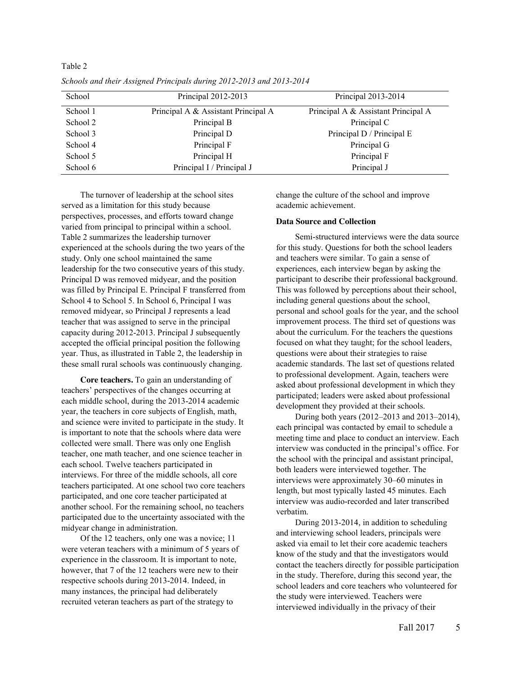| School   | Principal 2012-2013                 | Principal 2013-2014                 |
|----------|-------------------------------------|-------------------------------------|
| School 1 | Principal A & Assistant Principal A | Principal A & Assistant Principal A |
| School 2 | Principal B                         | Principal C                         |
| School 3 | Principal D                         | Principal D / Principal E           |
| School 4 | Principal F                         | Principal G                         |
| School 5 | Principal H                         | Principal F                         |
| School 6 | Principal I / Principal J           | Principal J                         |

*Schools and their Assigned Principals during 2012-2013 and 2013-2014*

Table 2

The turnover of leadership at the school sites served as a limitation for this study because perspectives, processes, and efforts toward change varied from principal to principal within a school. Table 2 summarizes the leadership turnover experienced at the schools during the two years of the study. Only one school maintained the same leadership for the two consecutive years of this study. Principal D was removed midyear, and the position was filled by Principal E. Principal F transferred from School 4 to School 5. In School 6, Principal I was removed midyear, so Principal J represents a lead teacher that was assigned to serve in the principal capacity during 2012-2013. Principal J subsequently accepted the official principal position the following year. Thus, as illustrated in Table 2, the leadership in these small rural schools was continuously changing.

**Core teachers.** To gain an understanding of teachers' perspectives of the changes occurring at each middle school, during the 2013-2014 academic year, the teachers in core subjects of English, math, and science were invited to participate in the study. It is important to note that the schools where data were collected were small. There was only one English teacher, one math teacher, and one science teacher in each school. Twelve teachers participated in interviews. For three of the middle schools, all core teachers participated. At one school two core teachers participated, and one core teacher participated at another school. For the remaining school, no teachers participated due to the uncertainty associated with the midyear change in administration.

Of the 12 teachers, only one was a novice; 11 were veteran teachers with a minimum of 5 years of experience in the classroom. It is important to note, however, that 7 of the 12 teachers were new to their respective schools during 2013-2014. Indeed, in many instances, the principal had deliberately recruited veteran teachers as part of the strategy to

change the culture of the school and improve academic achievement.

# **Data Source and Collection**

Semi-structured interviews were the data source for this study. Questions for both the school leaders and teachers were similar. To gain a sense of experiences, each interview began by asking the participant to describe their professional background. This was followed by perceptions about their school, including general questions about the school, personal and school goals for the year, and the school improvement process. The third set of questions was about the curriculum. For the teachers the questions focused on what they taught; for the school leaders, questions were about their strategies to raise academic standards. The last set of questions related to professional development. Again, teachers were asked about professional development in which they participated; leaders were asked about professional development they provided at their schools.

During both years (2012–2013 and 2013–2014), each principal was contacted by email to schedule a meeting time and place to conduct an interview. Each interview was conducted in the principal's office. For the school with the principal and assistant principal, both leaders were interviewed together. The interviews were approximately 30–60 minutes in length, but most typically lasted 45 minutes. Each interview was audio-recorded and later transcribed verbatim.

During 2013-2014, in addition to scheduling and interviewing school leaders, principals were asked via email to let their core academic teachers know of the study and that the investigators would contact the teachers directly for possible participation in the study. Therefore, during this second year, the school leaders and core teachers who volunteered for the study were interviewed. Teachers were interviewed individually in the privacy of their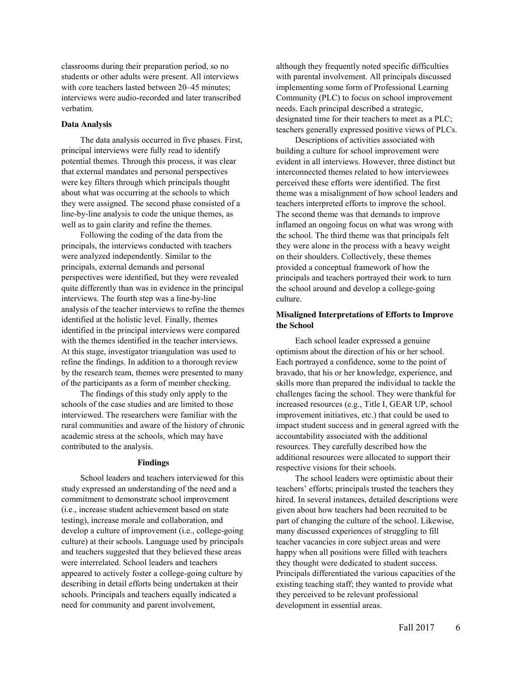classrooms during their preparation period, so no students or other adults were present. All interviews with core teachers lasted between 20–45 minutes: interviews were audio-recorded and later transcribed verbatim.

# **Data Analysis**

The data analysis occurred in five phases. First, principal interviews were fully read to identify potential themes. Through this process, it was clear that external mandates and personal perspectives were key filters through which principals thought about what was occurring at the schools to which they were assigned. The second phase consisted of a line-by-line analysis to code the unique themes, as well as to gain clarity and refine the themes.

Following the coding of the data from the principals, the interviews conducted with teachers were analyzed independently. Similar to the principals, external demands and personal perspectives were identified, but they were revealed quite differently than was in evidence in the principal interviews. The fourth step was a line-by-line analysis of the teacher interviews to refine the themes identified at the holistic level. Finally, themes identified in the principal interviews were compared with the themes identified in the teacher interviews. At this stage, investigator triangulation was used to refine the findings. In addition to a thorough review by the research team, themes were presented to many of the participants as a form of member checking.

The findings of this study only apply to the schools of the case studies and are limited to those interviewed. The researchers were familiar with the rural communities and aware of the history of chronic academic stress at the schools, which may have contributed to the analysis.

#### **Findings**

School leaders and teachers interviewed for this study expressed an understanding of the need and a commitment to demonstrate school improvement (i.e., increase student achievement based on state testing), increase morale and collaboration, and develop a culture of improvement (i.e., college-going culture) at their schools. Language used by principals and teachers suggested that they believed these areas were interrelated. School leaders and teachers appeared to actively foster a college-going culture by describing in detail efforts being undertaken at their schools. Principals and teachers equally indicated a need for community and parent involvement,

although they frequently noted specific difficulties with parental involvement. All principals discussed implementing some form of Professional Learning Community (PLC) to focus on school improvement needs. Each principal described a strategic, designated time for their teachers to meet as a PLC; teachers generally expressed positive views of PLCs.

Descriptions of activities associated with building a culture for school improvement were evident in all interviews. However, three distinct but interconnected themes related to how interviewees perceived these efforts were identified. The first theme was a misalignment of how school leaders and teachers interpreted efforts to improve the school. The second theme was that demands to improve inflamed an ongoing focus on what was wrong with the school. The third theme was that principals felt they were alone in the process with a heavy weight on their shoulders. Collectively, these themes provided a conceptual framework of how the principals and teachers portrayed their work to turn the school around and develop a college-going culture.

# **Misaligned Interpretations of Efforts to Improve the School**

Each school leader expressed a genuine optimism about the direction of his or her school. Each portrayed a confidence, some to the point of bravado, that his or her knowledge, experience, and skills more than prepared the individual to tackle the challenges facing the school. They were thankful for increased resources (e.g., Title I, GEAR UP, school improvement initiatives, etc.) that could be used to impact student success and in general agreed with the accountability associated with the additional resources. They carefully described how the additional resources were allocated to support their respective visions for their schools.

The school leaders were optimistic about their teachers' efforts; principals trusted the teachers they hired. In several instances, detailed descriptions were given about how teachers had been recruited to be part of changing the culture of the school. Likewise, many discussed experiences of struggling to fill teacher vacancies in core subject areas and were happy when all positions were filled with teachers they thought were dedicated to student success. Principals differentiated the various capacities of the existing teaching staff; they wanted to provide what they perceived to be relevant professional development in essential areas.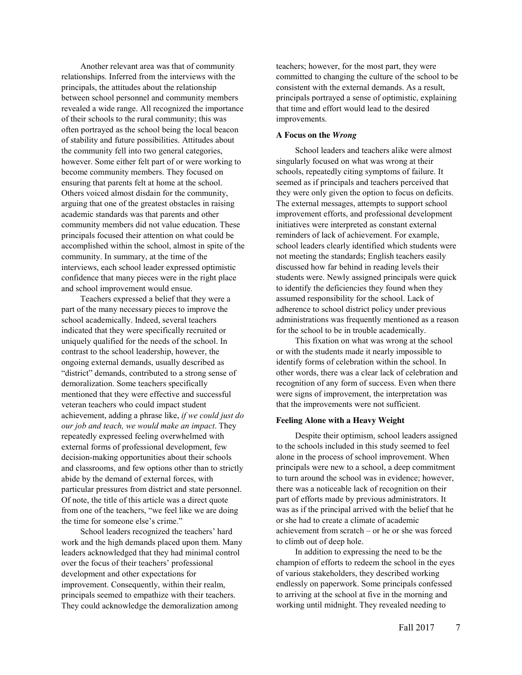Another relevant area was that of community relationships. Inferred from the interviews with the principals, the attitudes about the relationship between school personnel and community members revealed a wide range. All recognized the importance of their schools to the rural community; this was often portrayed as the school being the local beacon of stability and future possibilities. Attitudes about the community fell into two general categories, however. Some either felt part of or were working to become community members. They focused on ensuring that parents felt at home at the school. Others voiced almost disdain for the community, arguing that one of the greatest obstacles in raising academic standards was that parents and other community members did not value education. These principals focused their attention on what could be accomplished within the school, almost in spite of the community. In summary, at the time of the interviews, each school leader expressed optimistic confidence that many pieces were in the right place and school improvement would ensue.

Teachers expressed a belief that they were a part of the many necessary pieces to improve the school academically. Indeed, several teachers indicated that they were specifically recruited or uniquely qualified for the needs of the school. In contrast to the school leadership, however, the ongoing external demands, usually described as "district" demands, contributed to a strong sense of demoralization. Some teachers specifically mentioned that they were effective and successful veteran teachers who could impact student achievement, adding a phrase like, *if we could just do our job and teach, we would make an impact*. They repeatedly expressed feeling overwhelmed with external forms of professional development, few decision-making opportunities about their schools and classrooms, and few options other than to strictly abide by the demand of external forces, with particular pressures from district and state personnel. Of note, the title of this article was a direct quote from one of the teachers, "we feel like we are doing the time for someone else's crime."

School leaders recognized the teachers' hard work and the high demands placed upon them. Many leaders acknowledged that they had minimal control over the focus of their teachers' professional development and other expectations for improvement. Consequently, within their realm, principals seemed to empathize with their teachers. They could acknowledge the demoralization among

teachers; however, for the most part, they were committed to changing the culture of the school to be consistent with the external demands. As a result, principals portrayed a sense of optimistic, explaining that time and effort would lead to the desired improvements.

# **A Focus on the** *Wrong*

School leaders and teachers alike were almost singularly focused on what was wrong at their schools, repeatedly citing symptoms of failure. It seemed as if principals and teachers perceived that they were only given the option to focus on deficits. The external messages, attempts to support school improvement efforts, and professional development initiatives were interpreted as constant external reminders of lack of achievement. For example, school leaders clearly identified which students were not meeting the standards; English teachers easily discussed how far behind in reading levels their students were. Newly assigned principals were quick to identify the deficiencies they found when they assumed responsibility for the school. Lack of adherence to school district policy under previous administrations was frequently mentioned as a reason for the school to be in trouble academically.

This fixation on what was wrong at the school or with the students made it nearly impossible to identify forms of celebration within the school. In other words, there was a clear lack of celebration and recognition of any form of success. Even when there were signs of improvement, the interpretation was that the improvements were not sufficient.

#### **Feeling Alone with a Heavy Weight**

Despite their optimism, school leaders assigned to the schools included in this study seemed to feel alone in the process of school improvement. When principals were new to a school, a deep commitment to turn around the school was in evidence; however, there was a noticeable lack of recognition on their part of efforts made by previous administrators. It was as if the principal arrived with the belief that he or she had to create a climate of academic achievement from scratch – or he or she was forced to climb out of deep hole.

In addition to expressing the need to be the champion of efforts to redeem the school in the eyes of various stakeholders, they described working endlessly on paperwork. Some principals confessed to arriving at the school at five in the morning and working until midnight. They revealed needing to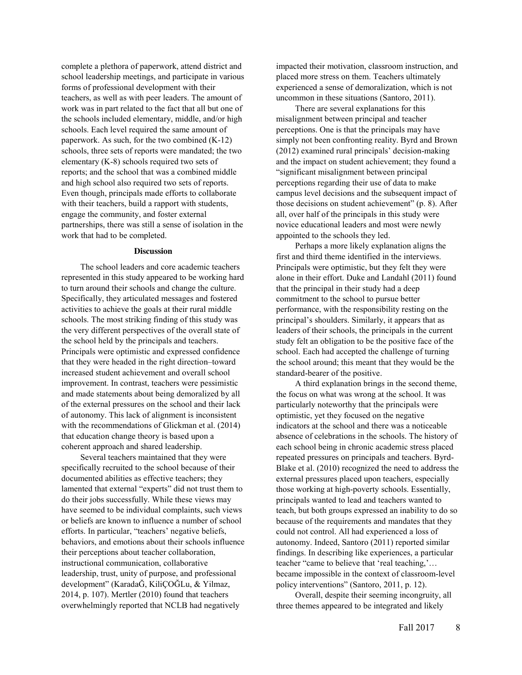complete a plethora of paperwork, attend district and school leadership meetings, and participate in various forms of professional development with their teachers, as well as with peer leaders. The amount of work was in part related to the fact that all but one of the schools included elementary, middle, and/or high schools. Each level required the same amount of paperwork. As such, for the two combined (K-12) schools, three sets of reports were mandated; the two elementary (K-8) schools required two sets of reports; and the school that was a combined middle and high school also required two sets of reports. Even though, principals made efforts to collaborate with their teachers, build a rapport with students, engage the community, and foster external partnerships, there was still a sense of isolation in the work that had to be completed.

#### **Discussion**

The school leaders and core academic teachers represented in this study appeared to be working hard to turn around their schools and change the culture. Specifically, they articulated messages and fostered activities to achieve the goals at their rural middle schools. The most striking finding of this study was the very different perspectives of the overall state of the school held by the principals and teachers. Principals were optimistic and expressed confidence that they were headed in the right direction–toward increased student achievement and overall school improvement. In contrast, teachers were pessimistic and made statements about being demoralized by all of the external pressures on the school and their lack of autonomy. This lack of alignment is inconsistent with the recommendations of Glickman et al. (2014) that education change theory is based upon a coherent approach and shared leadership.

Several teachers maintained that they were specifically recruited to the school because of their documented abilities as effective teachers; they lamented that external "experts" did not trust them to do their jobs successfully. While these views may have seemed to be individual complaints, such views or beliefs are known to influence a number of school efforts. In particular, "teachers' negative beliefs, behaviors, and emotions about their schools influence their perceptions about teacher collaboration, instructional communication, collaborative leadership, trust, unity of purpose, and professional development" (KaradaĞ, KiliÇOĞLu, & Yilmaz, 2014, p. 107). Mertler (2010) found that teachers overwhelmingly reported that NCLB had negatively

impacted their motivation, classroom instruction, and placed more stress on them. Teachers ultimately experienced a sense of demoralization, which is not uncommon in these situations (Santoro, 2011).

There are several explanations for this misalignment between principal and teacher perceptions. One is that the principals may have simply not been confronting reality. Byrd and Brown (2012) examined rural principals' decision-making and the impact on student achievement; they found a "significant misalignment between principal perceptions regarding their use of data to make campus level decisions and the subsequent impact of those decisions on student achievement" (p. 8). After all, over half of the principals in this study were novice educational leaders and most were newly appointed to the schools they led.

Perhaps a more likely explanation aligns the first and third theme identified in the interviews. Principals were optimistic, but they felt they were alone in their effort. Duke and Landahl (2011) found that the principal in their study had a deep commitment to the school to pursue better performance, with the responsibility resting on the principal's shoulders. Similarly, it appears that as leaders of their schools, the principals in the current study felt an obligation to be the positive face of the school. Each had accepted the challenge of turning the school around; this meant that they would be the standard-bearer of the positive.

A third explanation brings in the second theme, the focus on what was wrong at the school. It was particularly noteworthy that the principals were optimistic, yet they focused on the negative indicators at the school and there was a noticeable absence of celebrations in the schools. The history of each school being in chronic academic stress placed repeated pressures on principals and teachers. Byrd-Blake et al. (2010) recognized the need to address the external pressures placed upon teachers, especially those working at high-poverty schools. Essentially, principals wanted to lead and teachers wanted to teach, but both groups expressed an inability to do so because of the requirements and mandates that they could not control. All had experienced a loss of autonomy. Indeed, Santoro (2011) reported similar findings. In describing like experiences, a particular teacher "came to believe that 'real teaching,'… became impossible in the context of classroom-level policy interventions" (Santoro, 2011, p. 12).

Overall, despite their seeming incongruity, all three themes appeared to be integrated and likely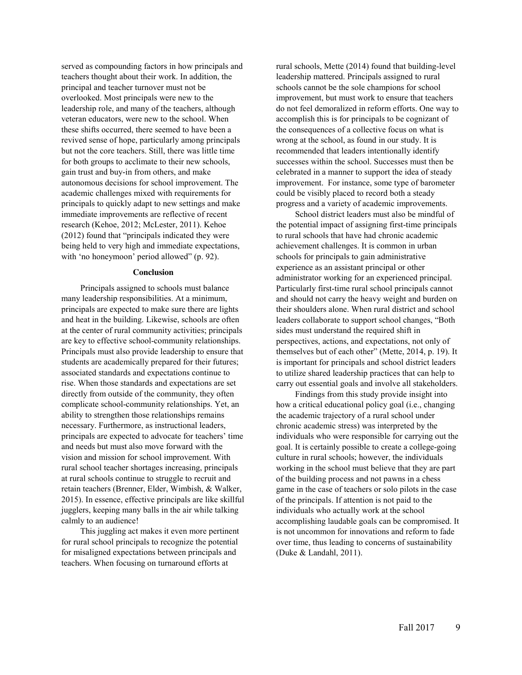served as compounding factors in how principals and teachers thought about their work. In addition, the principal and teacher turnover must not be overlooked. Most principals were new to the leadership role, and many of the teachers, although veteran educators, were new to the school. When these shifts occurred, there seemed to have been a revived sense of hope, particularly among principals but not the core teachers. Still, there was little time for both groups to acclimate to their new schools, gain trust and buy-in from others, and make autonomous decisions for school improvement. The academic challenges mixed with requirements for principals to quickly adapt to new settings and make immediate improvements are reflective of recent research (Kehoe, 2012; McLester, 2011). Kehoe (2012) found that "principals indicated they were being held to very high and immediate expectations, with 'no honeymoon' period allowed" (p. 92).

## **Conclusion**

Principals assigned to schools must balance many leadership responsibilities. At a minimum, principals are expected to make sure there are lights and heat in the building. Likewise, schools are often at the center of rural community activities; principals are key to effective school-community relationships. Principals must also provide leadership to ensure that students are academically prepared for their futures; associated standards and expectations continue to rise. When those standards and expectations are set directly from outside of the community, they often complicate school-community relationships. Yet, an ability to strengthen those relationships remains necessary. Furthermore, as instructional leaders, principals are expected to advocate for teachers' time and needs but must also move forward with the vision and mission for school improvement. With rural school teacher shortages increasing, principals at rural schools continue to struggle to recruit and retain teachers (Brenner, Elder, Wimbish, & Walker, 2015). In essence, effective principals are like skillful jugglers, keeping many balls in the air while talking calmly to an audience!

This juggling act makes it even more pertinent for rural school principals to recognize the potential for misaligned expectations between principals and teachers. When focusing on turnaround efforts at

rural schools, Mette (2014) found that building-level leadership mattered. Principals assigned to rural schools cannot be the sole champions for school improvement, but must work to ensure that teachers do not feel demoralized in reform efforts. One way to accomplish this is for principals to be cognizant of the consequences of a collective focus on what is wrong at the school, as found in our study. It is recommended that leaders intentionally identify successes within the school. Successes must then be celebrated in a manner to support the idea of steady improvement. For instance, some type of barometer could be visibly placed to record both a steady progress and a variety of academic improvements.

School district leaders must also be mindful of the potential impact of assigning first-time principals to rural schools that have had chronic academic achievement challenges. It is common in urban schools for principals to gain administrative experience as an assistant principal or other administrator working for an experienced principal. Particularly first-time rural school principals cannot and should not carry the heavy weight and burden on their shoulders alone. When rural district and school leaders collaborate to support school changes, "Both sides must understand the required shift in perspectives, actions, and expectations, not only of themselves but of each other" (Mette, 2014, p. 19). It is important for principals and school district leaders to utilize shared leadership practices that can help to carry out essential goals and involve all stakeholders.

Findings from this study provide insight into how a critical educational policy goal (i.e., changing the academic trajectory of a rural school under chronic academic stress) was interpreted by the individuals who were responsible for carrying out the goal. It is certainly possible to create a college-going culture in rural schools; however, the individuals working in the school must believe that they are part of the building process and not pawns in a chess game in the case of teachers or solo pilots in the case of the principals. If attention is not paid to the individuals who actually work at the school accomplishing laudable goals can be compromised. It is not uncommon for innovations and reform to fade over time, thus leading to concerns of sustainability (Duke & Landahl, 2011).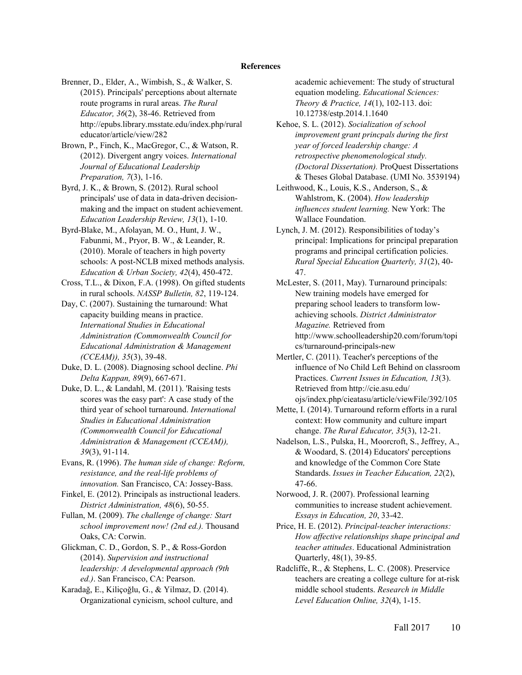#### **References**

- Brenner, D., Elder, A., Wimbish, S., & Walker, S. (2015). Principals' perceptions about alternate route programs in rural areas. *The Rural Educator, 36*(2), 38-46. Retrieved from http://epubs.library.msstate.edu/index.php/rural educator/article/view/282
- Brown, P., Finch, K., MacGregor, C., & Watson, R. (2012). Divergent angry voices. *International Journal of Educational Leadership Preparation, 7*(3), 1-16.
- Byrd, J. K., & Brown, S. (2012). Rural school principals' use of data in data-driven decisionmaking and the impact on student achievement. *Education Leadership Review, 13*(1), 1-10.
- Byrd-Blake, M., Afolayan, M. O., Hunt, J. W., Fabunmi, M., Pryor, B. W., & Leander, R. (2010). Morale of teachers in high poverty schools: A post-NCLB mixed methods analysis. *Education & Urban Society, 42*(4), 450-472.
- Cross, T.L., & Dixon, F.A. (1998). On gifted students in rural schools. *NASSP Bulletin, 82*, 119-124.
- Day, C. (2007). Sustaining the turnaround: What capacity building means in practice. *International Studies in Educational Administration (Commonwealth Council for Educational Administration & Management (CCEAM)), 35*(3), 39-48.
- Duke, D. L. (2008). Diagnosing school decline. *Phi Delta Kappan, 89*(9), 667-671.
- Duke, D. L., & Landahl, M. (2011). 'Raising tests scores was the easy part': A case study of the third year of school turnaround. *International Studies in Educational Administration (Commonwealth Council for Educational Administration & Management (CCEAM)), 39*(3), 91-114.
- Evans, R. (1996). *The human side of change: Reform, resistance, and the real-life problems of innovation.* San Francisco, CA: Jossey-Bass.
- Finkel, E. (2012). Principals as instructional leaders. *District Administration, 48*(6), 50-55.
- Fullan, M. (2009). *The challenge of change: Start school improvement now! (2nd ed.).* Thousand Oaks, CA: Corwin.
- Glickman, C. D., Gordon, S. P., & Ross-Gordon (2014). *Supervision and instructional leadership: A developmental approach (9th ed.)*. San Francisco, CA: Pearson.
- Karadağ, E., Kiliçoğlu, G., & Yilmaz, D. (2014). Organizational cynicism, school culture, and

academic achievement: The study of structural equation modeling. *Educational Sciences: Theory & Practice, 14*(1), 102-113. doi: 10.12738/estp.2014.1.1640

Kehoe, S. L. (2012). *Socialization of school improvement grant princpals during the first year of forced leadership change: A retrospective phenomenological study. (Doctoral Dissertation).* ProQuest Dissertations & Theses Global Database. (UMI No. 3539194)

- Leithwood, K., Louis, K.S., Anderson, S., & Wahlstrom, K. (2004). *How leadership influences student learning.* New York: The Wallace Foundation.
- Lynch, J. M. (2012). Responsibilities of today's principal: Implications for principal preparation programs and principal certification policies. *Rural Special Education Quarterly, 31*(2), 40- 47.
- McLester, S. (2011, May). Turnaround principals: New training models have emerged for preparing school leaders to transform lowachieving schools. *District Administrator Magazine.* Retrieved from http://www.schoolleadership20.com/forum/topi cs/turnaround-principals-new
- Mertler, C. (2011). Teacher's perceptions of the influence of No Child Left Behind on classroom Practices. *Current Issues in Education, 13*(3). Retrieved from http://cie.asu.edu/ ojs/index.php/cieatasu/article/viewFile/392/105
- Mette, I. (2014). Turnaround reform efforts in a rural context: How community and culture impart change. *The Rural Educator, 35*(3), 12-21.
- Nadelson, L.S., Pulska, H., Moorcroft, S., Jeffrey, A., & Woodard, S. (2014) Educators' perceptions and knowledge of the Common Core State Standards. *Issues in Teacher Education, 22*(2), 47-66.
- Norwood, J. R. (2007). Professional learning communities to increase student achievement. *Essays in Education, 20*, 33-42.
- Price, H. E. (2012). *Principal-teacher interactions: How affective relationships shape principal and teacher attitudes*. Educational Administration Quarterly, 48(1), 39-85.
- Radcliffe, R., & Stephens, L. C. (2008). Preservice teachers are creating a college culture for at-risk middle school students. *Research in Middle Level Education Online, 32*(4), 1-15.